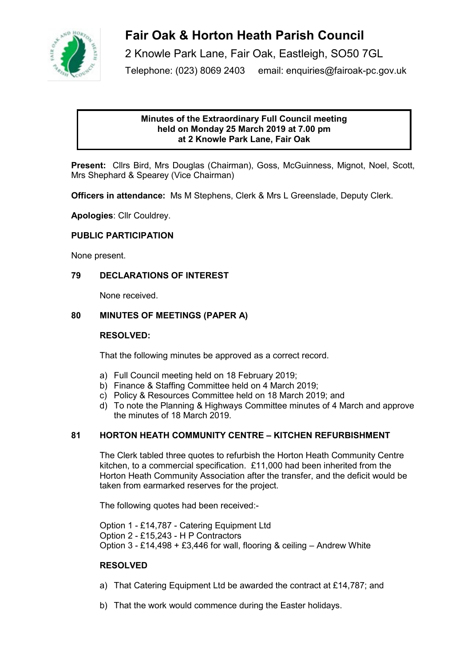

# **Fair Oak & Horton Heath Parish Council**

2 Knowle Park Lane, Fair Oak, Eastleigh, SO50 7GL Telephone: (023) 8069 2403 email: enquiries@fairoak-pc.gov.uk

## **Minutes of the Extraordinary Full Council meeting held on Monday 25 March 2019 at 7.00 pm at 2 Knowle Park Lane, Fair Oak**

**Present:** Cllrs Bird, Mrs Douglas (Chairman), Goss, McGuinness, Mignot, Noel, Scott, Mrs Shephard & Spearey (Vice Chairman)

**Officers in attendance:** Ms M Stephens, Clerk & Mrs L Greenslade, Deputy Clerk.

**Apologies**: Cllr Couldrey.

## **PUBLIC PARTICIPATION**

None present.

#### **79 DECLARATIONS OF INTEREST**

None received.

#### **80 MINUTES OF MEETINGS (PAPER A)**

#### **RESOLVED:**

That the following minutes be approved as a correct record.

- a) Full Council meeting held on 18 February 2019;
- b) Finance & Staffing Committee held on 4 March 2019;
- c) Policy & Resources Committee held on 18 March 2019; and
- d) To note the Planning & Highways Committee minutes of 4 March and approve the minutes of 18 March 2019.

#### **81 HORTON HEATH COMMUNITY CENTRE – KITCHEN REFURBISHMENT**

The Clerk tabled three quotes to refurbish the Horton Heath Community Centre kitchen, to a commercial specification. £11,000 had been inherited from the Horton Heath Community Association after the transfer, and the deficit would be taken from earmarked reserves for the project.

The following quotes had been received:-

Option 1 - £14,787 - Catering Equipment Ltd Option 2 - £15,243 - H P Contractors Option 3 - £14,498 + £3,446 for wall, flooring & ceiling – Andrew White

#### **RESOLVED**

- a) That Catering Equipment Ltd be awarded the contract at £14,787; and
- b) That the work would commence during the Easter holidays.